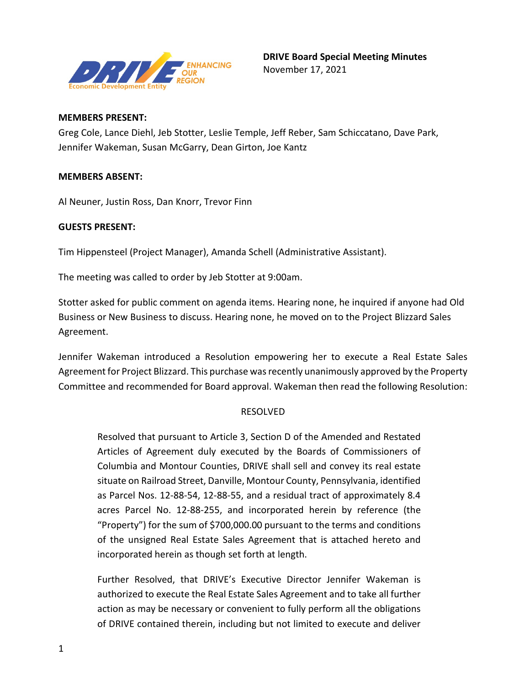

## **MEMBERS PRESENT:**

Greg Cole, Lance Diehl, Jeb Stotter, Leslie Temple, Jeff Reber, Sam Schiccatano, Dave Park, Jennifer Wakeman, Susan McGarry, Dean Girton, Joe Kantz

## **MEMBERS ABSENT:**

Al Neuner, Justin Ross, Dan Knorr, Trevor Finn

## **GUESTS PRESENT:**

Tim Hippensteel (Project Manager), Amanda Schell (Administrative Assistant).

The meeting was called to order by Jeb Stotter at 9:00am.

Stotter asked for public comment on agenda items. Hearing none, he inquired if anyone had Old Business or New Business to discuss. Hearing none, he moved on to the Project Blizzard Sales Agreement.

Jennifer Wakeman introduced a Resolution empowering her to execute a Real Estate Sales Agreement for Project Blizzard. This purchase was recently unanimously approved by the Property Committee and recommended for Board approval. Wakeman then read the following Resolution:

## RESOLVED

Resolved that pursuant to Article 3, Section D of the Amended and Restated Articles of Agreement duly executed by the Boards of Commissioners of Columbia and Montour Counties, DRIVE shall sell and convey its real estate situate on Railroad Street, Danville, Montour County, Pennsylvania, identified as Parcel Nos. 12-88-54, 12-88-55, and a residual tract of approximately 8.4 acres Parcel No. 12-88-255, and incorporated herein by reference (the "Property") for the sum of \$700,000.00 pursuant to the terms and conditions of the unsigned Real Estate Sales Agreement that is attached hereto and incorporated herein as though set forth at length.

Further Resolved, that DRIVE's Executive Director Jennifer Wakeman is authorized to execute the Real Estate Sales Agreement and to take all further action as may be necessary or convenient to fully perform all the obligations of DRIVE contained therein, including but not limited to execute and deliver